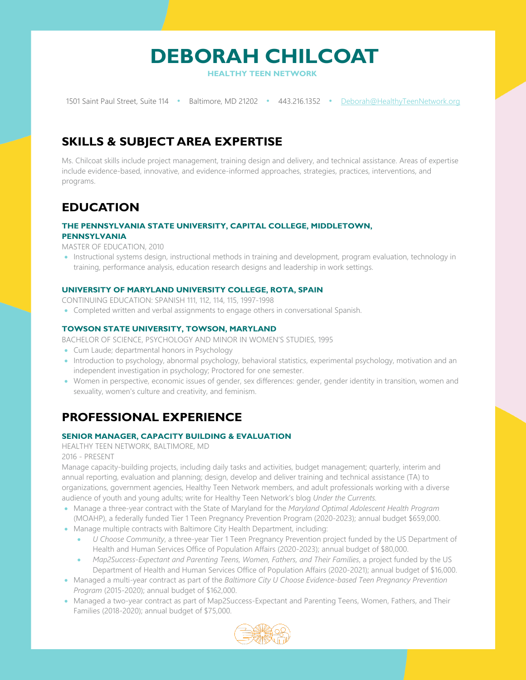

**HEALTHY TEEN NETWORK**

1501 Saint Paul Street, Suite 114 • Baltimore, MD 21202 • 443.216.1352 • [Deborah@HealthyTeenNetwork.org](mailto:Deborah@HealthyTeenNetwork.org) 

# **SKILLS & SUBJECT AREA EXPERTISE**

Ms. Chilcoat skills include project management, training design and delivery, and technical assistance. Areas of expertise include evidence-based, innovative, and evidence-informed approaches, strategies, practices, interventions, and programs.

# **EDUCATION**

#### **THE PENNSYLVANIA STATE UNIVERSITY, CAPITAL COLLEGE, MIDDLETOWN, PENNSYLVANIA**

MASTER OF EDUCATION, 2010

• Instructional systems design, instructional methods in training and development, program evaluation, technology in training, performance analysis, education research designs and leadership in work settings.

## **UNIVERSITY OF MARYLAND UNIVERSITY COLLEGE, ROTA, SPAIN**

CONTINUING EDUCATION: SPANISH 111, 112, 114, 115, 1997-1998

• Completed written and verbal assignments to engage others in conversational Spanish.

## **TOWSON STATE UNIVERSITY, TOWSON, MARYLAND**

BACHELOR OF SCIENCE, PSYCHOLOGY AND MINOR IN WOMEN'S STUDIES, 1995

- Cum Laude; departmental honors in Psychology
- Introduction to psychology, abnormal psychology, behavioral statistics, experimental psychology, motivation and an independent investigation in psychology; Proctored for one semester.
- Women in perspective, economic issues of gender, sex differences: gender, gender identity in transition, women and sexuality, women's culture and creativity, and feminism.

# **PROFESSIONAL EXPERIENCE**

## **SENIOR MANAGER, CAPACITY BUILDING & EVALUATION**

HEALTHY TEEN NETWORK, BALTIMORE, MD

### 2016 - PRESENT

Manage capacity-building projects, including daily tasks and activities, budget management; quarterly, interim and annual reporting, evaluation and planning; design, develop and deliver training and technical assistance (TA) to organizations, government agencies, Healthy Teen Network members, and adult professionals working with a diverse audience of youth and young adults; write for Healthy Teen Network's blog *Under the Currents.*

- Manage a three-year contract with the State of Maryland for the *Maryland Optimal Adolescent Health Program*  (MOAHP), a federally funded Tier 1 Teen Pregnancy Prevention Program (2020-2023); annual budget \$659,000.
- Manage multiple contracts with Baltimore City Health Department, including:
	- *U Choose Community*, a three-year Tier 1 Teen Pregnancy Prevention project funded by the US Department of Health and Human Services Office of Population Affairs (2020-2023); annual budget of \$80,000.
	- *Map2Success-Expectant and Parenting Teens, Women, Fathers, and Their Families*, a project funded by the US Department of Health and Human Services Office of Population Affairs (2020-2021); annual budget of \$16,000.
- Managed a multi-year contract as part of the *Baltimore City U Choose Evidence-based Teen Pregnancy Prevention Program* (2015-2020); annual budget of \$162,000.
- Managed a two-year contract as part of Map2Success-Expectant and Parenting Teens, Women, Fathers, and Their Families (2018-2020); annual budget of \$75,000.

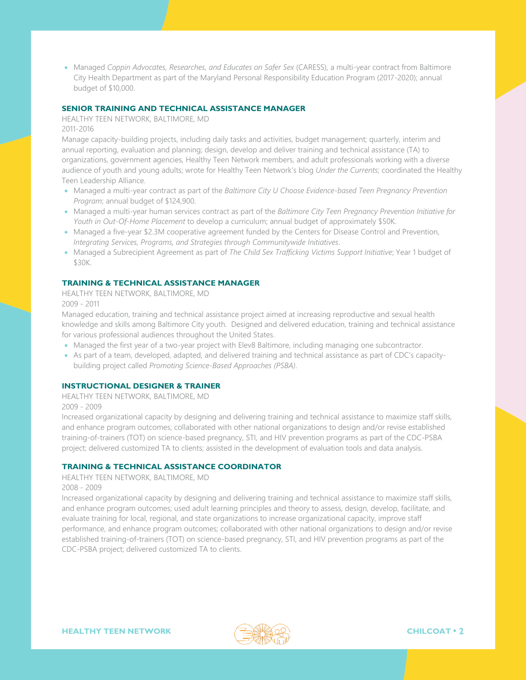• Managed *Coppin Advocates, Researches, and Educates on Safer Sex* (CARESS), a multi-year contract from Baltimore City Health Department as part of the Maryland Personal Responsibility Education Program (2017-2020); annual budget of \$10,000.

#### **SENIOR TRAINING AND TECHNICAL ASSISTANCE MANAGER**

HEALTHY TEEN NETWORK, BALTIMORE, MD 2011-2016

Manage capacity-building projects, including daily tasks and activities, budget management; quarterly, interim and annual reporting, evaluation and planning; design, develop and deliver training and technical assistance (TA) to organizations, government agencies, Healthy Teen Network members, and adult professionals working with a diverse audience of youth and young adults; wrote for Healthy Teen Network's blog *Under the Currents*; coordinated the Healthy Teen Leadership Alliance.

- Managed a multi-year contract as part of the *Baltimore City U Choose Evidence-based Teen Pregnancy Prevention Program*; annual budget of \$124,900.
- Managed a multi-year human services contract as part of the *Baltimore City Teen Pregnancy Prevention Initiative for Youth in Out-Of-Home Placement* to develop a curriculum; annual budget of approximately \$50K.
- Managed a five-year \$2.3M cooperative agreement funded by the Centers for Disease Control and Prevention, *Integrating Services, Programs, and Strategies through Communitywide Initiatives*.
- Managed a Subrecipient Agreement as part of *The Child Sex Trafficking Victims Support Initiative*; Year 1 budget of \$30K.

#### **TRAINING & TECHNICAL ASSISTANCE MANAGER**

HEALTHY TEEN NETWORK, BALTIMORE, MD 2009 - 2011

Managed education, training and technical assistance project aimed at increasing reproductive and sexual health knowledge and skills among Baltimore City youth. Designed and delivered education, training and technical assistance for various professional audiences throughout the United States.

- Managed the first year of a two-year project with Elev8 Baltimore, including managing one subcontractor.
- As part of a team, developed, adapted, and delivered training and technical assistance as part of CDC's capacitybuilding project called *Promoting Science-Based Approaches (PSBA)*.

#### **INSTRUCTIONAL DESIGNER & TRAINER**

HEALTHY TEEN NETWORK, BALTIMORE, MD

2009 - 2009

Increased organizational capacity by designing and delivering training and technical assistance to maximize staff skills, and enhance program outcomes; collaborated with other national organizations to design and/or revise established training-of-trainers (TOT) on science-based pregnancy, STI, and HIV prevention programs as part of the CDC-PSBA project; delivered customized TA to clients; assisted in the development of evaluation tools and data analysis.

#### **TRAINING & TECHNICAL ASSISTANCE COORDINATOR**

HEALTHY TEEN NETWORK, BALTIMORE, MD

2008 - 2009

Increased organizational capacity by designing and delivering training and technical assistance to maximize staff skills, and enhance program outcomes; used adult learning principles and theory to assess, design, develop, facilitate, and evaluate training for local, regional, and state organizations to increase organizational capacity, improve staff performance, and enhance program outcomes; collaborated with other national organizations to design and/or revise established training-of-trainers (TOT) on science-based pregnancy, STI, and HIV prevention programs as part of the CDC-PSBA project; delivered customized TA to clients.

**HEALTHY TEEN NETWORK CHILCOAT • 2**

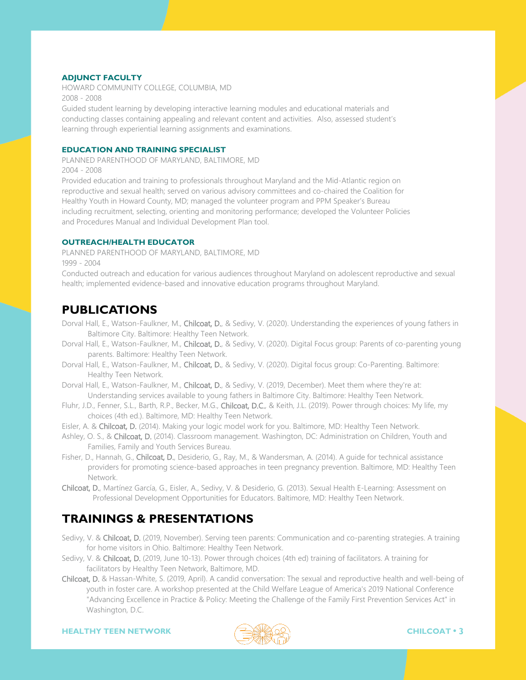#### **ADJUNCT FACULTY**

HOWARD COMMUNITY COLLEGE, COLUMBIA, MD 2008 - 2008

Guided student learning by developing interactive learning modules and educational materials and conducting classes containing appealing and relevant content and activities. Also, assessed student's learning through experiential learning assignments and examinations.

#### **EDUCATION AND TRAINING SPECIALIST**

PLANNED PARENTHOOD OF MARYLAND, BALTIMORE, MD 2004 - 2008

Provided education and training to professionals throughout Maryland and the Mid-Atlantic region on reproductive and sexual health; served on various advisory committees and co-chaired the Coalition for Healthy Youth in Howard County, MD; managed the volunteer program and PPM Speaker's Bureau including recruitment, selecting, orienting and monitoring performance; developed the Volunteer Policies and Procedures Manual and Individual Development Plan tool.

### **OUTREACH/HEALTH EDUCATOR**

PLANNED PARENTHOOD OF MARYLAND, BALTIMORE, MD 1999 - 2004

Conducted outreach and education for various audiences throughout Maryland on adolescent reproductive and sexual health; implemented evidence-based and innovative education programs throughout Maryland.

# **PUBLICATIONS**

- Dorval Hall, E., Watson-Faulkner, M., Chilcoat, D., & Sedivy, V. (2020). Understanding the experiences of young fathers in Baltimore City. Baltimore: Healthy Teen Network.
- Dorval Hall, E., Watson-Faulkner, M., Chilcoat, D., & Sedivy, V. (2020). Digital Focus group: Parents of co-parenting young parents. Baltimore: Healthy Teen Network.
- Dorval Hall, E., Watson-Faulkner, M., Chilcoat, D., & Sedivy, V. (2020). Digital focus group: Co-Parenting. Baltimore: Healthy Teen Network.
- Dorval Hall, E., Watson-Faulkner, M., Chilcoat, D., & Sedivy, V. (2019, December). Meet them where they're at: Understanding services available to young fathers in Baltimore City. Baltimore: Healthy Teen Network.
- Fluhr, J.D., Fenner, S.L., Barth, R.P., Becker, M.G., Chilcoat, D.C., & Keith, J.L. (2019). Power through choices: My life, my choices (4th ed.). Baltimore, MD: Healthy Teen Network.
- Eisler, A. & Chilcoat, D. (2014). Making your logic model work for you. Baltimore, MD: Healthy Teen Network.
- Ashley, O. S., & Chilcoat, D. (2014). Classroom management. Washington, DC: Administration on Children, Youth and Families, Family and Youth Services Bureau.
- Fisher, D., Hannah, G., Chilcoat, D., Desiderio, G., Ray, M., & Wandersman, A. (2014). A guide for technical assistance providers for promoting science-based approaches in teen pregnancy prevention. Baltimore, MD: Healthy Teen Network.
- Chilcoat, D., Martínez García, G., Eisler, A., Sedivy, V. & Desiderio, G. (2013). Sexual Health E-Learning: Assessment on Professional Development Opportunities for Educators. Baltimore, MD: Healthy Teen Network.

# **TRAININGS & PRESENTATIONS**

- Sedivy, V. & Chilcoat, D. (2019, November). Serving teen parents: Communication and co-parenting strategies. A training for home visitors in Ohio. Baltimore: Healthy Teen Network.
- Sedivy, V. & Chilcoat, D. (2019, June 10-13). Power through choices (4th ed) training of facilitators. A training for facilitators by Healthy Teen Network, Baltimore, MD.
- Chilcoat, D. & Hassan-White, S. (2019, April). A candid conversation: The sexual and reproductive health and well-being of youth in foster care. A workshop presented at the Child Welfare League of America's 2019 National Conference "Advancing Excellence in Practice & Policy: Meeting the Challenge of the Family First Prevention Services Act" in Washington, D.C.

**HEALTHY TEEN NETWORK CHILCOAT • 3**